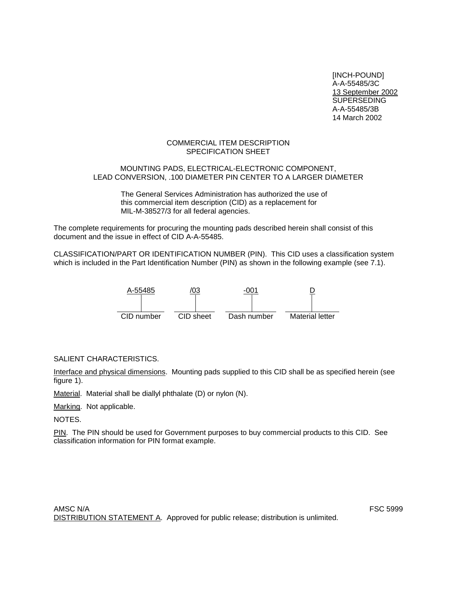[INCH-POUND] A-A-55485/3C 13 September 2002 **SUPERSEDING** A-A-55485/3B 14 March 2002

## COMMERCIAL ITEM DESCRIPTION SPECIFICATION SHEET

## MOUNTING PADS, ELECTRICAL-ELECTRONIC COMPONENT, LEAD CONVERSION, .100 DIAMETER PIN CENTER TO A LARGER DIAMETER

The General Services Administration has authorized the use of this commercial item description (CID) as a replacement for MIL-M-38527/3 for all federal agencies.

The complete requirements for procuring the mounting pads described herein shall consist of this document and the issue in effect of CID A-A-55485.

CLASSIFICATION/PART OR IDENTIFICATION NUMBER (PIN). This CID uses a classification system which is included in the Part Identification Number (PIN) as shown in the following example (see 7.1).



# SALIENT CHARACTERISTICS.

Interface and physical dimensions. Mounting pads supplied to this CID shall be as specified herein (see figure 1).

Material. Material shall be diallyl phthalate (D) or nylon (N).

Marking. Not applicable.

NOTES.

PIN. The PIN should be used for Government purposes to buy commercial products to this CID. See classification information for PIN format example.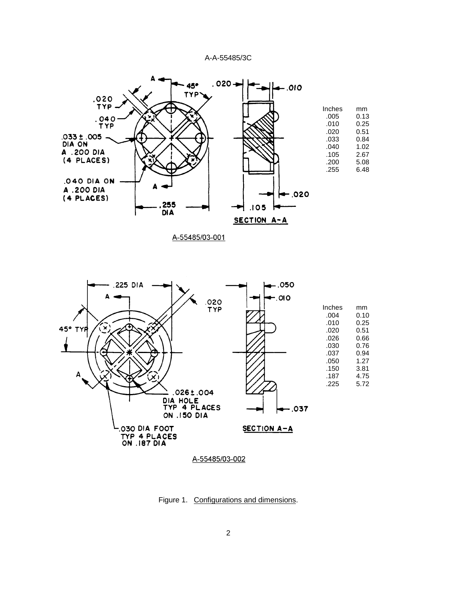



Figure 1. Configurations and dimensions.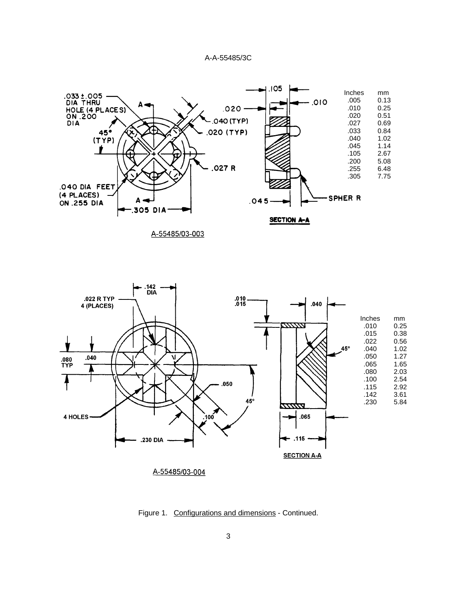



Figure 1. Configurations and dimensions - Continued.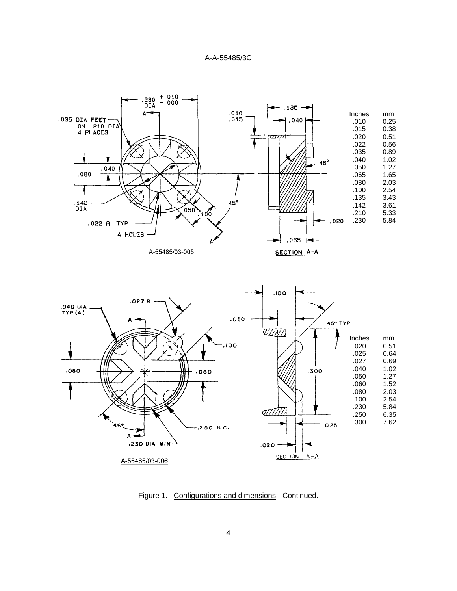



Figure 1. Configurations and dimensions - Continued.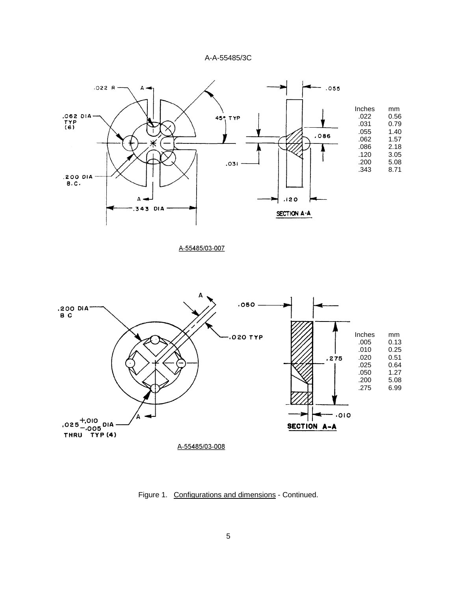

A-55485/03-007



Figure 1. Configurations and dimensions - Continued.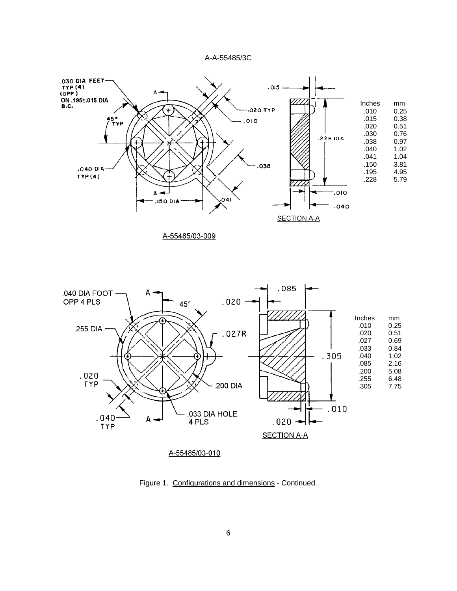



Figure 1. Configurations and dimensions - Continued.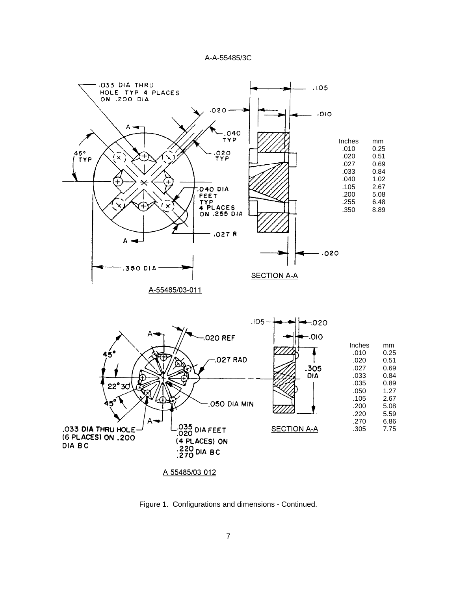

Figure 1. Configurations and dimensions - Continued.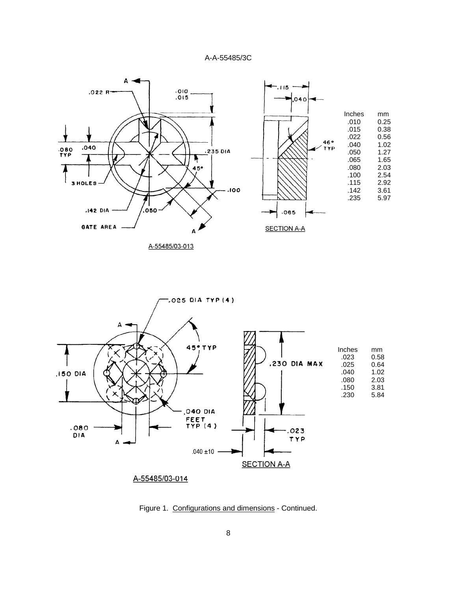![](_page_7_Figure_1.jpeg)

A-55485/03-013

![](_page_7_Figure_3.jpeg)

Figure 1. Configurations and dimensions - Continued.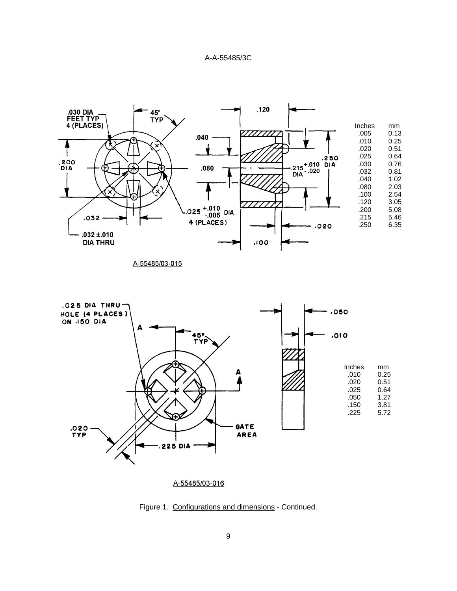![](_page_8_Figure_1.jpeg)

![](_page_8_Figure_2.jpeg)

Figure 1. Configurations and dimensions - Continued.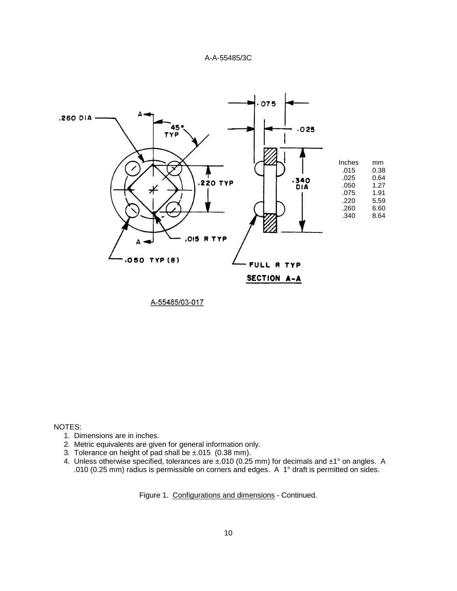![](_page_9_Figure_1.jpeg)

A-55485/03-017

NOTES:

- 1. Dimensions are in inches.
- 2. Metric equivalents are given for general information only.
- 3. Tolerance on height of pad shall be  $\pm 015$  (0.38 mm).
- 4. Unless otherwise specified, tolerances are ±.010 (0.25 mm) for decimals and ±1° on angles. A .010 (0.25 mm) radius is permissible on corners and edges. A 1° draft is permitted on sides.

Figure 1. Configurations and dimensions - Continued.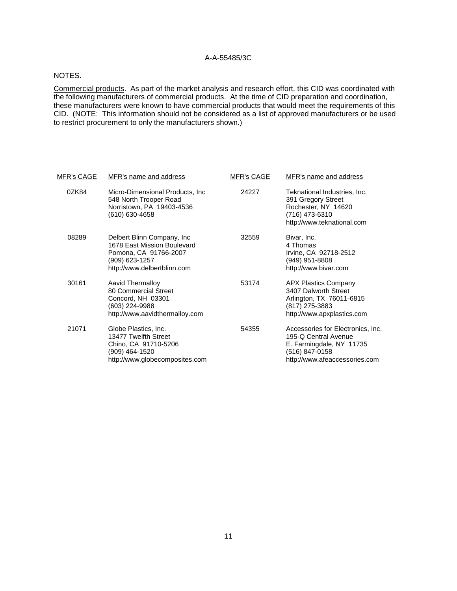#### NOTES.

Commercial products. As part of the market analysis and research effort, this CID was coordinated with the following manufacturers of commercial products. At the time of CID preparation and coordination, these manufacturers were known to have commercial products that would meet the requirements of this CID. (NOTE: This information should not be considered as a list of approved manufacturers or be used to restrict procurement to only the manufacturers shown.)

| <u>MFR's CAGE</u> | MFR's name and address                                                                                                               | <b>MFR's CAGE</b> | MFR's name and address                                                                                                                   |
|-------------------|--------------------------------------------------------------------------------------------------------------------------------------|-------------------|------------------------------------------------------------------------------------------------------------------------------------------|
| 0ZK84             | Micro-Dimensional Products, Inc.<br>548 North Trooper Road<br>Norristown, PA 19403-4536<br>(610) 630-4658                            | 24227             | Teknational Industries, Inc.<br>391 Gregory Street<br>Rochester, NY 14620<br>(716) 473-6310<br>http://www.teknational.com                |
| 08289             | Delbert Blinn Company, Inc.<br>1678 East Mission Boulevard<br>Pomona, CA 91766-2007<br>(909) 623-1257<br>http://www.delbertblinn.com | 32559             | Bivar, Inc.<br>4 Thomas<br>Irvine, CA 92718-2512<br>(949) 951-8808<br>http://www.bivar.com                                               |
| 30161             | Aavid Thermalloy<br>80 Commercial Street<br>Concord, NH 03301<br>(603) 224-9988<br>http://www.aavidthermalloy.com                    | 53174             | <b>APX Plastics Company</b><br>3407 Dalworth Street<br>Arlington, TX 76011-6815<br>(817) 275-3883<br>http://www.apxplastics.com          |
| 21071             | Globe Plastics, Inc.<br>13477 Twelfth Street<br>Chino, CA 91710-5206<br>(909) 464-1520<br>http://www.globecomposites.com             | 54355             | Accessories for Electronics, Inc.<br>195-Q Central Avenue<br>E. Farmingdale, NY 11735<br>(516) 847-0158<br>http://www.afeaccessories.com |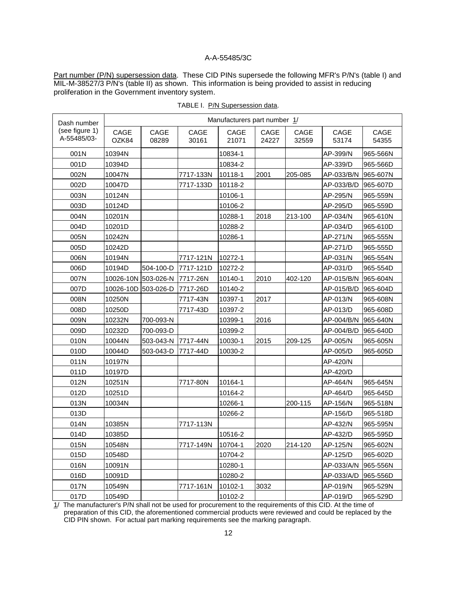Part number (P/N) supersession data. These CID PINs supersede the following MFR's P/N's (table I) and MIL-M-38527/3 P/N's (table II) as shown. This information is being provided to assist in reducing proliferation in the Government inventory system.

| Dash number                   | Manufacturers part number 1/ |               |               |               |               |               |               |               |
|-------------------------------|------------------------------|---------------|---------------|---------------|---------------|---------------|---------------|---------------|
| (see figure 1)<br>A-55485/03- | CAGE<br>OZK84                | CAGE<br>08289 | CAGE<br>30161 | CAGE<br>21071 | CAGE<br>24227 | CAGE<br>32559 | CAGE<br>53174 | CAGE<br>54355 |
| 001N                          | 10394N                       |               |               | 10834-1       |               |               | AP-399/N      | 965-566N      |
| 001D                          | 10394D                       |               |               | 10834-2       |               |               | AP-339/D      | 965-566D      |
| 002N                          | 10047N                       |               | 7717-133N     | 10118-1       | 2001          | 205-085       | AP-033/B/N    | 965-607N      |
| 002D                          | 10047D                       |               | 7717-133D     | 10118-2       |               |               | AP-033/B/D    | 965-607D      |
| 003N                          | 10124N                       |               |               | 10106-1       |               |               | AP-295/N      | 965-559N      |
| 003D                          | 10124D                       |               |               | 10106-2       |               |               | AP-295/D      | 965-559D      |
| 004N                          | 10201N                       |               |               | 10288-1       | 2018          | 213-100       | AP-034/N      | 965-610N      |
| 004D                          | 10201D                       |               |               | 10288-2       |               |               | AP-034/D      | 965-610D      |
| 005N                          | 10242N                       |               |               | 10286-1       |               |               | AP-271/N      | 965-555N      |
| 005D                          | 10242D                       |               |               |               |               |               | AP-271/D      | 965-555D      |
| 006N                          | 10194N                       |               | 7717-121N     | 10272-1       |               |               | AP-031/N      | 965-554N      |
| 006D                          | 10194D                       | 504-100-D     | 7717-121D     | 10272-2       |               |               | AP-031/D      | 965-554D      |
| 007N                          | 10026-10N 503-026-N          |               | 7717-26N      | 10140-1       | 2010          | 402-120       | AP-015/B/N    | 965-604N      |
| 007D                          | 10026-10D                    | 503-026-D     | 7717-26D      | 10140-2       |               |               | AP-015/B/D    | 965-604D      |
| 008N                          | 10250N                       |               | 7717-43N      | 10397-1       | 2017          |               | AP-013/N      | 965-608N      |
| 008D                          | 10250D                       |               | 7717-43D      | 10397-2       |               |               | AP-013/D      | 965-608D      |
| 009N                          | 10232N                       | 700-093-N     |               | 10399-1       | 2016          |               | AP-004/B/N    | 965-640N      |
| 009D                          | 10232D                       | 700-093-D     |               | 10399-2       |               |               | AP-004/B/D    | 965-640D      |
| 010N                          | 10044N                       | 503-043-N     | 7717-44N      | 10030-1       | 2015          | 209-125       | AP-005/N      | 965-605N      |
| 010D                          | 10044D                       | 503-043-D     | 7717-44D      | 10030-2       |               |               | AP-005/D      | 965-605D      |
| 011N                          | 10197N                       |               |               |               |               |               | AP-420/N      |               |
| 011D                          | 10197D                       |               |               |               |               |               | AP-420/D      |               |
| 012N                          | 10251N                       |               | 7717-80N      | 10164-1       |               |               | AP-464/N      | 965-645N      |
| 012D                          | 10251D                       |               |               | 10164-2       |               |               | AP-464/D      | 965-645D      |
| 013N                          | 10034N                       |               |               | 10266-1       |               | 200-115       | AP-156/N      | 965-518N      |
| 013D                          |                              |               |               | 10266-2       |               |               | AP-156/D      | 965-518D      |
| 014N                          | 10385N                       |               | 7717-113N     |               |               |               | AP-432/N      | 965-595N      |
| 014D                          | 10385D                       |               |               | 10516-2       |               |               | AP-432/D      | 965-595D      |
| 015N                          | 10548N                       |               | 7717-149N     | 10704-1       | 2020          | 214-120       | AP-125/N      | 965-602N      |
| 015D                          | 10548D                       |               |               | 10704-2       |               |               | AP-125/D      | 965-602D      |
| 016N                          | 10091N                       |               |               | 10280-1       |               |               | AP-033/A/N    | 965-556N      |
| 016D                          | 10091D                       |               |               | 10280-2       |               |               | AP-033/A/D    | 965-556D      |
| 017N                          | 10549N                       |               | 7717-161N     | 10102-1       | 3032          |               | AP-019/N      | 965-529N      |
| 017D                          | 10549D                       |               |               | 10102-2       |               |               | AP-019/D      | 965-529D      |

TABLE I. P/N Supersession data.

1/ The manufacturer's P/N shall not be used for procurement to the requirements of this CID. At the time of preparation of this CID, the aforementioned commercial products were reviewed and could be replaced by the CID PIN shown. For actual part marking requirements see the marking paragraph.